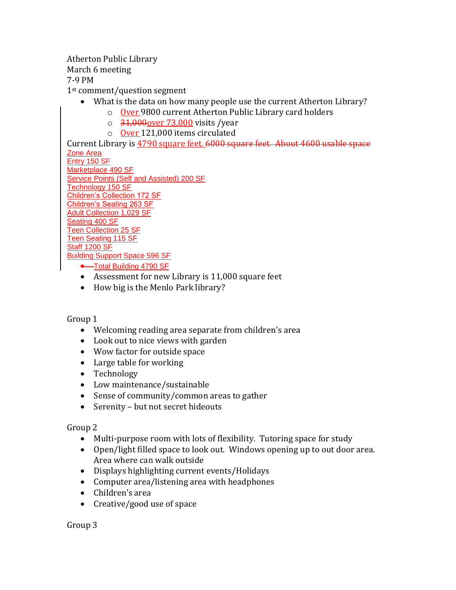Atherton Public Library

March 6 meeting

7-9 PM

1st comment/question segment

- What is the data on how many people use the current Atherton Library?
	- o Over 9800 current Atherton Public Library card holders
	- $\circ$  31,000 over 73,000 visits / year
	- o Over 121,000 items circulated

Current Library is 4790 square feet. 6000 square feet. About 4600 usable space Zone Area

Entry 150 SF Marketplace 490 SF Service Points (Self and Assisted) 200 SF Technology 150 SF Children's Collection 172 SF Children's Seating 263 SF Adult Collection 1,029 SF Seating 400 SF Teen Collection 25 SF Teen Seating 115 SF Staff 1200 SF Building Support Space 596 SF

- **•**—Total Building 4790 SF
- Assessment for new Library is 11,000 square feet
- How big is the Menlo Park library?

## Group 1

- Welcoming reading area separate from children's area
- Look out to nice views with garden
- Wow factor for outside space
- Large table for working
- Technology
- Low maintenance/sustainable
- Sense of community/common areas to gather
- Serenity but not secret hideouts

Group 2

- Multi-purpose room with lots of flexibility. Tutoring space for study
- Open/light filled space to look out. Windows opening up to out door area. Area where can walk outside
- Displays highlighting current events/Holidays
- Computer area/listening area with headphones
- Children's area
- Creative/good use of space

Group 3